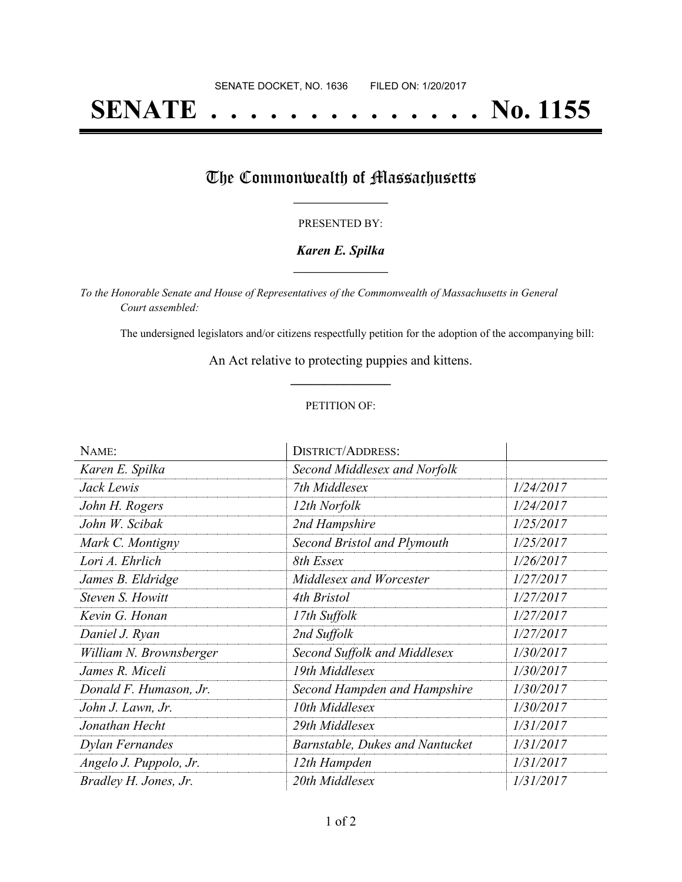# **SENATE . . . . . . . . . . . . . . No. 1155**

## The Commonwealth of Massachusetts

#### PRESENTED BY:

#### *Karen E. Spilka* **\_\_\_\_\_\_\_\_\_\_\_\_\_\_\_\_\_**

*To the Honorable Senate and House of Representatives of the Commonwealth of Massachusetts in General Court assembled:*

The undersigned legislators and/or citizens respectfully petition for the adoption of the accompanying bill:

An Act relative to protecting puppies and kittens. **\_\_\_\_\_\_\_\_\_\_\_\_\_\_\_**

#### PETITION OF:

| NAME:                   | <b>DISTRICT/ADDRESS:</b>        |           |
|-------------------------|---------------------------------|-----------|
| Karen E. Spilka         | Second Middlesex and Norfolk    |           |
| Jack Lewis              | 7th Middlesex                   | 1/24/2017 |
| John H. Rogers          | 12th Norfolk                    | 1/24/2017 |
| John W. Scibak          | 2nd Hampshire                   | 1/25/2017 |
| Mark C. Montigny        | Second Bristol and Plymouth     | 1/25/2017 |
| Lori A. Ehrlich         | 8th Essex                       | 1/26/2017 |
| James B. Eldridge       | Middlesex and Worcester         | 1/27/2017 |
| Steven S. Howitt        | 4th Bristol                     | 1/27/2017 |
| Kevin G. Honan          | 17th Suffolk                    | 1/27/2017 |
| Daniel J. Ryan          | 2nd Suffolk                     | 1/27/2017 |
| William N. Brownsberger | Second Suffolk and Middlesex    | 1/30/2017 |
| James R. Miceli         | 19th Middlesex                  | 1/30/2017 |
| Donald F. Humason, Jr.  | Second Hampden and Hampshire    | 1/30/2017 |
| John J. Lawn, Jr.       | 10th Middlesex                  | 1/30/2017 |
| Jonathan Hecht          | 29th Middlesex                  | 1/31/2017 |
| Dylan Fernandes         | Barnstable, Dukes and Nantucket | 1/31/2017 |
| Angelo J. Puppolo, Jr.  | 12th Hampden                    | 1/31/2017 |
| Bradley H. Jones, Jr.   | 20th Middlesex                  | 1/31/2017 |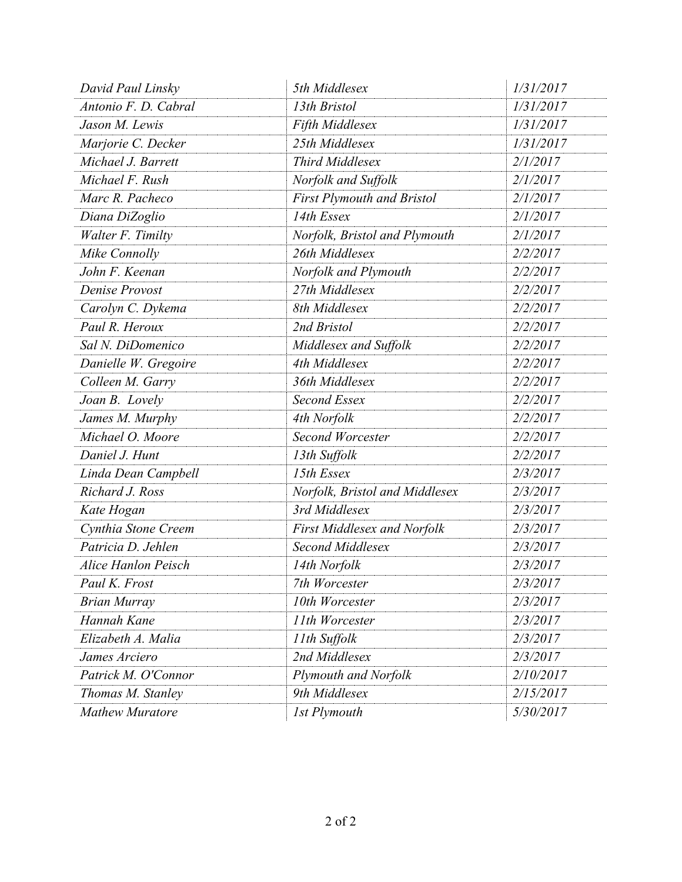| David Paul Linsky          | 5th Middlesex                      | 1/31/2017 |
|----------------------------|------------------------------------|-----------|
| Antonio F. D. Cabral       | 13th Bristol                       | 1/31/2017 |
| Jason M. Lewis             | Fifth Middlesex                    | 1/31/2017 |
| Marjorie C. Decker         | 25th Middlesex                     | 1/31/2017 |
| Michael J. Barrett         | Third Middlesex                    | 2/1/2017  |
| Michael F. Rush            | Norfolk and Suffolk                | 2/1/2017  |
| Marc R. Pacheco            | <b>First Plymouth and Bristol</b>  | 2/1/2017  |
| Diana DiZoglio             | 14th Essex                         | 2/1/2017  |
| Walter F. Timilty          | Norfolk, Bristol and Plymouth      | 2/1/2017  |
| Mike Connolly              | 26th Middlesex                     | 2/2/2017  |
| John F. Keenan             | Norfolk and Plymouth               | 2/2/2017  |
| Denise Provost             | 27th Middlesex                     | 2/2/2017  |
| Carolyn C. Dykema          | 8th Middlesex                      | 2/2/2017  |
| Paul R. Heroux             | 2nd Bristol                        | 2/2/2017  |
| Sal N. DiDomenico          | Middlesex and Suffolk              | 2/2/2017  |
| Danielle W. Gregoire       | 4th Middlesex                      | 2/2/2017  |
| Colleen M. Garry           | 36th Middlesex                     | 2/2/2017  |
| Joan B. Lovely             | Second Essex                       | 2/2/2017  |
| James M. Murphy            | 4th Norfolk                        | 2/2/2017  |
| Michael O. Moore           | <b>Second Worcester</b>            | 2/2/2017  |
| Daniel J. Hunt             | 13th Suffolk                       | 2/2/2017  |
| Linda Dean Campbell        | 15th Essex                         | 2/3/2017  |
| Richard J. Ross            | Norfolk, Bristol and Middlesex     | 2/3/2017  |
| Kate Hogan                 | 3rd Middlesex                      | 2/3/2017  |
| Cynthia Stone Creem        | <b>First Middlesex and Norfolk</b> | 2/3/2017  |
| Patricia D. Jehlen         | <b>Second Middlesex</b>            | 2/3/2017  |
| <b>Alice Hanlon Peisch</b> | 14th Norfolk                       | 2/3/2017  |
| Paul K. Frost              | 7th Worcester                      | 2/3/2017  |
| <b>Brian Murray</b>        | 10th Worcester                     | 2/3/2017  |
| Hannah Kane                | 11th Worcester                     | 2/3/2017  |
| Elizabeth A. Malia         | 11th Suffolk                       | 2/3/2017  |
| James Arciero              | 2nd Middlesex                      | 2/3/2017  |
| Patrick M. O'Connor        | Plymouth and Norfolk               | 2/10/2017 |
| Thomas M. Stanley          | 9th Middlesex                      | 2/15/2017 |
| <b>Mathew Muratore</b>     | 1st Plymouth                       | 5/30/2017 |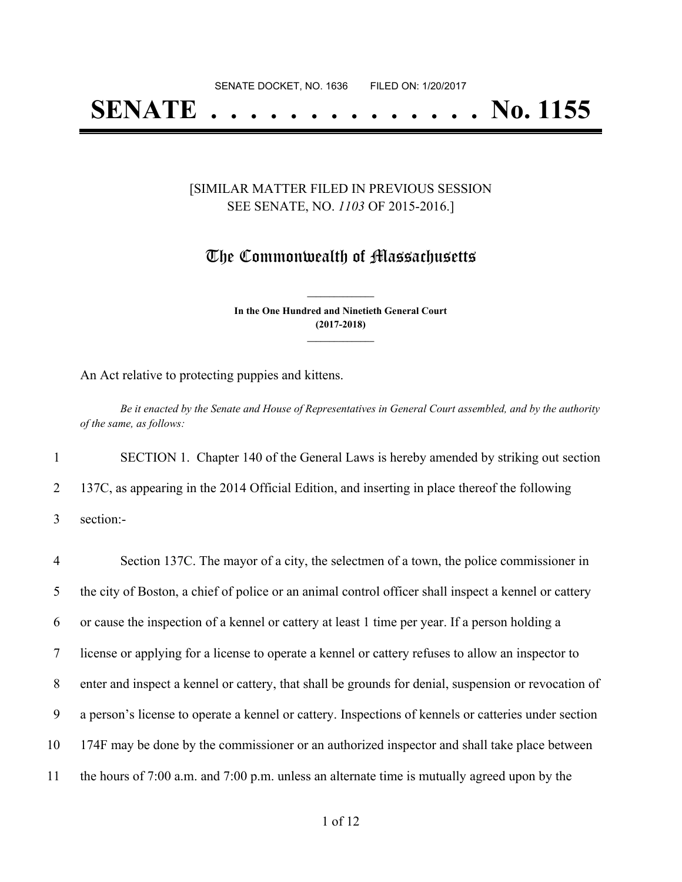# **SENATE . . . . . . . . . . . . . . No. 1155**

#### [SIMILAR MATTER FILED IN PREVIOUS SESSION SEE SENATE, NO. *1103* OF 2015-2016.]

### The Commonwealth of Massachusetts

**In the One Hundred and Ninetieth General Court (2017-2018) \_\_\_\_\_\_\_\_\_\_\_\_\_\_\_**

**\_\_\_\_\_\_\_\_\_\_\_\_\_\_\_**

An Act relative to protecting puppies and kittens.

Be it enacted by the Senate and House of Representatives in General Court assembled, and by the authority *of the same, as follows:*

1 SECTION 1. Chapter 140 of the General Laws is hereby amended by striking out section 2 137C, as appearing in the 2014 Official Edition, and inserting in place thereof the following

3 section:-

 Section 137C. The mayor of a city, the selectmen of a town, the police commissioner in the city of Boston, a chief of police or an animal control officer shall inspect a kennel or cattery or cause the inspection of a kennel or cattery at least 1 time per year. If a person holding a license or applying for a license to operate a kennel or cattery refuses to allow an inspector to enter and inspect a kennel or cattery, that shall be grounds for denial, suspension or revocation of a person's license to operate a kennel or cattery. Inspections of kennels or catteries under section 174F may be done by the commissioner or an authorized inspector and shall take place between the hours of 7:00 a.m. and 7:00 p.m. unless an alternate time is mutually agreed upon by the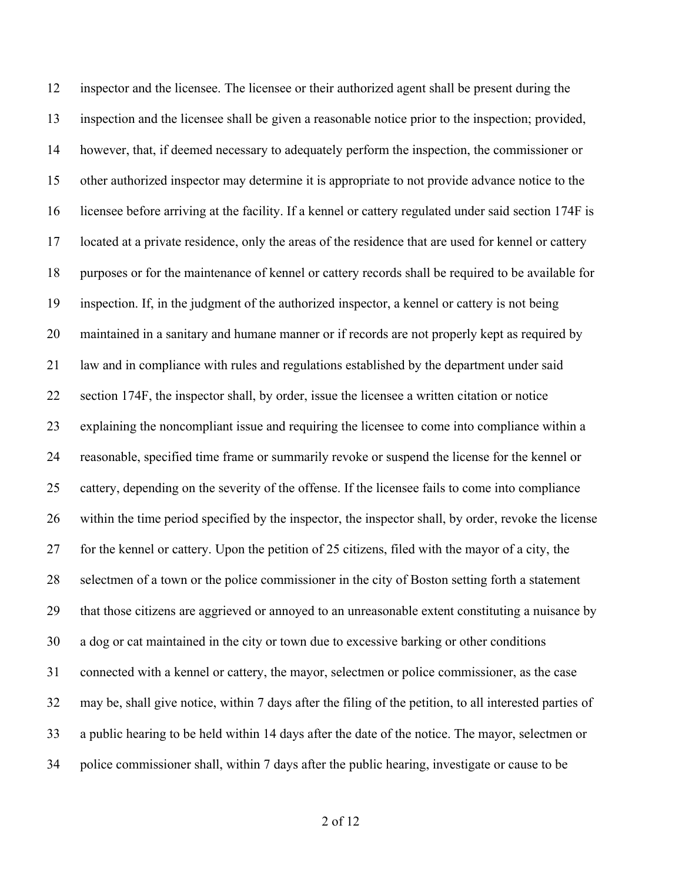inspector and the licensee. The licensee or their authorized agent shall be present during the inspection and the licensee shall be given a reasonable notice prior to the inspection; provided, however, that, if deemed necessary to adequately perform the inspection, the commissioner or other authorized inspector may determine it is appropriate to not provide advance notice to the licensee before arriving at the facility. If a kennel or cattery regulated under said section 174F is located at a private residence, only the areas of the residence that are used for kennel or cattery purposes or for the maintenance of kennel or cattery records shall be required to be available for inspection. If, in the judgment of the authorized inspector, a kennel or cattery is not being maintained in a sanitary and humane manner or if records are not properly kept as required by law and in compliance with rules and regulations established by the department under said section 174F, the inspector shall, by order, issue the licensee a written citation or notice explaining the noncompliant issue and requiring the licensee to come into compliance within a reasonable, specified time frame or summarily revoke or suspend the license for the kennel or cattery, depending on the severity of the offense. If the licensee fails to come into compliance within the time period specified by the inspector, the inspector shall, by order, revoke the license for the kennel or cattery. Upon the petition of 25 citizens, filed with the mayor of a city, the selectmen of a town or the police commissioner in the city of Boston setting forth a statement that those citizens are aggrieved or annoyed to an unreasonable extent constituting a nuisance by a dog or cat maintained in the city or town due to excessive barking or other conditions connected with a kennel or cattery, the mayor, selectmen or police commissioner, as the case may be, shall give notice, within 7 days after the filing of the petition, to all interested parties of a public hearing to be held within 14 days after the date of the notice. The mayor, selectmen or police commissioner shall, within 7 days after the public hearing, investigate or cause to be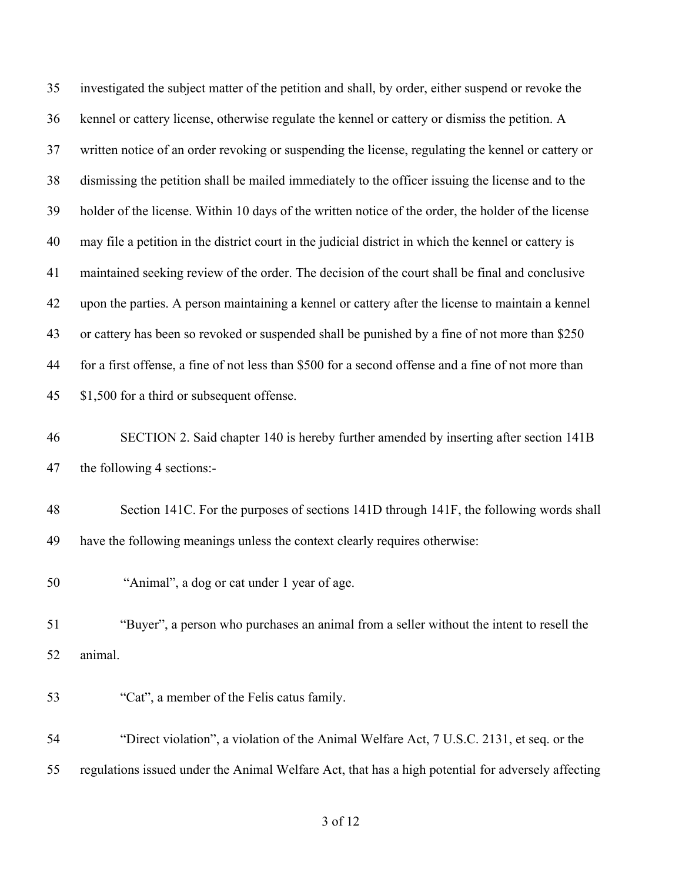investigated the subject matter of the petition and shall, by order, either suspend or revoke the kennel or cattery license, otherwise regulate the kennel or cattery or dismiss the petition. A written notice of an order revoking or suspending the license, regulating the kennel or cattery or dismissing the petition shall be mailed immediately to the officer issuing the license and to the holder of the license. Within 10 days of the written notice of the order, the holder of the license may file a petition in the district court in the judicial district in which the kennel or cattery is maintained seeking review of the order. The decision of the court shall be final and conclusive upon the parties. A person maintaining a kennel or cattery after the license to maintain a kennel or cattery has been so revoked or suspended shall be punished by a fine of not more than \$250 for a first offense, a fine of not less than \$500 for a second offense and a fine of not more than \$1,500 for a third or subsequent offense. SECTION 2. Said chapter 140 is hereby further amended by inserting after section 141B

the following 4 sections:-

 Section 141C. For the purposes of sections 141D through 141F, the following words shall have the following meanings unless the context clearly requires otherwise:

"Animal", a dog or cat under 1 year of age.

 "Buyer", a person who purchases an animal from a seller without the intent to resell the animal.

"Cat", a member of the Felis catus family.

 "Direct violation", a violation of the Animal Welfare Act, 7 U.S.C. 2131, et seq. or the regulations issued under the Animal Welfare Act, that has a high potential for adversely affecting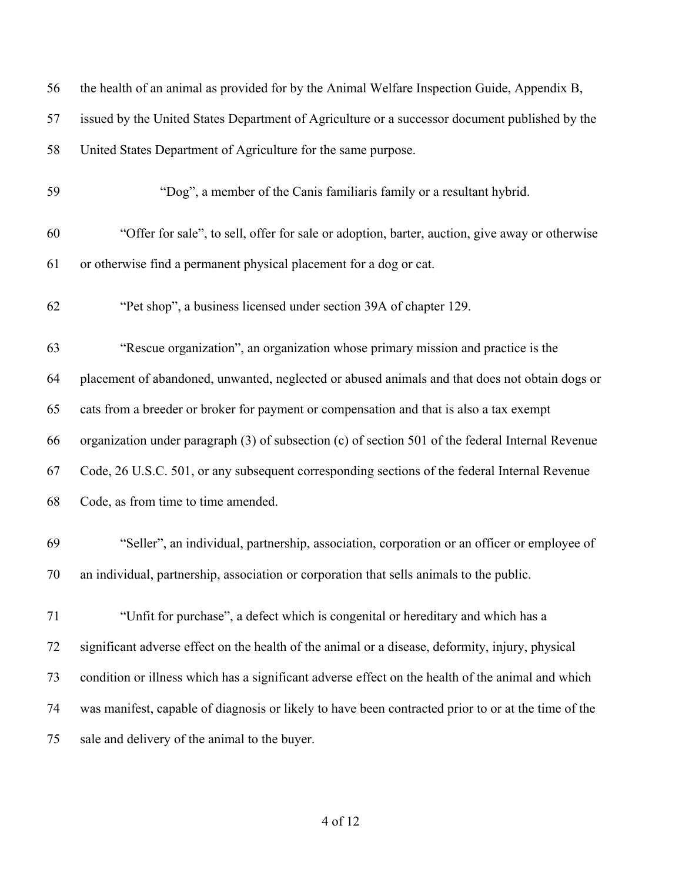| 56 | the health of an animal as provided for by the Animal Welfare Inspection Guide, Appendix B,         |
|----|-----------------------------------------------------------------------------------------------------|
| 57 | issued by the United States Department of Agriculture or a successor document published by the      |
| 58 | United States Department of Agriculture for the same purpose.                                       |
| 59 | "Dog", a member of the Canis familiaris family or a resultant hybrid.                               |
| 60 | "Offer for sale", to sell, offer for sale or adoption, barter, auction, give away or otherwise      |
| 61 | or otherwise find a permanent physical placement for a dog or cat.                                  |
| 62 | "Pet shop", a business licensed under section 39A of chapter 129.                                   |
| 63 | "Rescue organization", an organization whose primary mission and practice is the                    |
| 64 | placement of abandoned, unwanted, neglected or abused animals and that does not obtain dogs or      |
| 65 | cats from a breeder or broker for payment or compensation and that is also a tax exempt             |
| 66 | organization under paragraph (3) of subsection (c) of section 501 of the federal Internal Revenue   |
| 67 | Code, 26 U.S.C. 501, or any subsequent corresponding sections of the federal Internal Revenue       |
| 68 | Code, as from time to time amended.                                                                 |
| 69 | "Seller", an individual, partnership, association, corporation or an officer or employee of         |
| 70 | an individual, partnership, association or corporation that sells animals to the public.            |
| 71 | "Unfit for purchase", a defect which is congenital or hereditary and which has a                    |
| 72 | significant adverse effect on the health of the animal or a disease, deformity, injury, physical    |
| 73 | condition or illness which has a significant adverse effect on the health of the animal and which   |
| 74 | was manifest, capable of diagnosis or likely to have been contracted prior to or at the time of the |
| 75 | sale and delivery of the animal to the buyer.                                                       |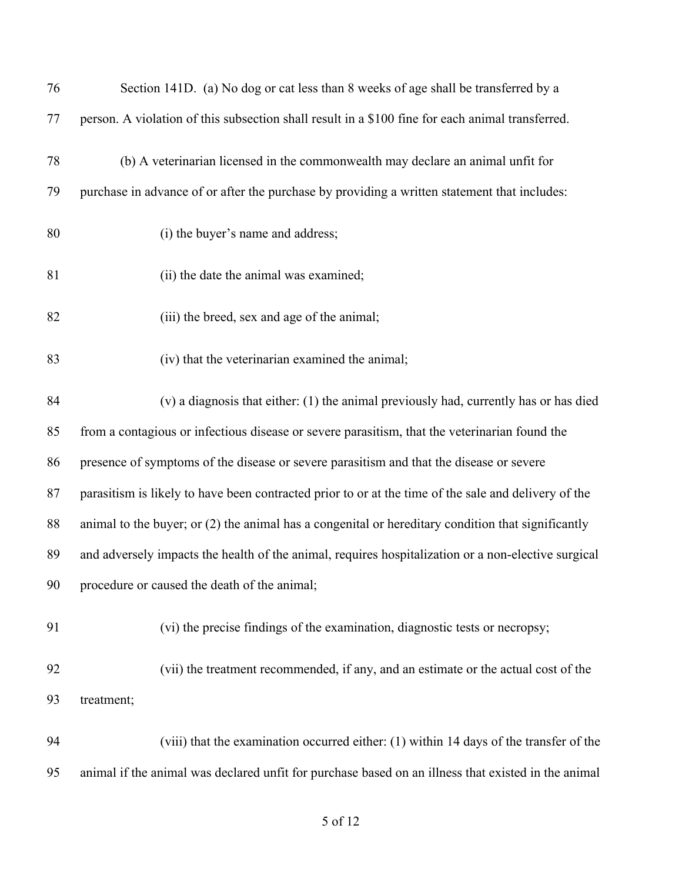| 76 | Section 141D. (a) No dog or cat less than 8 weeks of age shall be transferred by a                   |
|----|------------------------------------------------------------------------------------------------------|
| 77 | person. A violation of this subsection shall result in a \$100 fine for each animal transferred.     |
| 78 | (b) A veterinarian licensed in the commonwealth may declare an animal unfit for                      |
| 79 | purchase in advance of or after the purchase by providing a written statement that includes:         |
| 80 | (i) the buyer's name and address;                                                                    |
| 81 | (ii) the date the animal was examined;                                                               |
| 82 | (iii) the breed, sex and age of the animal;                                                          |
| 83 | (iv) that the veterinarian examined the animal;                                                      |
| 84 | (v) a diagnosis that either: (1) the animal previously had, currently has or has died                |
| 85 | from a contagious or infectious disease or severe parasitism, that the veterinarian found the        |
| 86 | presence of symptoms of the disease or severe parasitism and that the disease or severe              |
| 87 | parasitism is likely to have been contracted prior to or at the time of the sale and delivery of the |
| 88 | animal to the buyer; or $(2)$ the animal has a congenital or hereditary condition that significantly |
| 89 | and adversely impacts the health of the animal, requires hospitalization or a non-elective surgical  |
| 90 | procedure or caused the death of the animal;                                                         |
| 91 | (vi) the precise findings of the examination, diagnostic tests or necropsy;                          |
| 92 | (vii) the treatment recommended, if any, and an estimate or the actual cost of the                   |
| 93 | treatment;                                                                                           |
| 94 | (viii) that the examination occurred either: (1) within 14 days of the transfer of the               |
| 95 | animal if the animal was declared unfit for purchase based on an illness that existed in the animal  |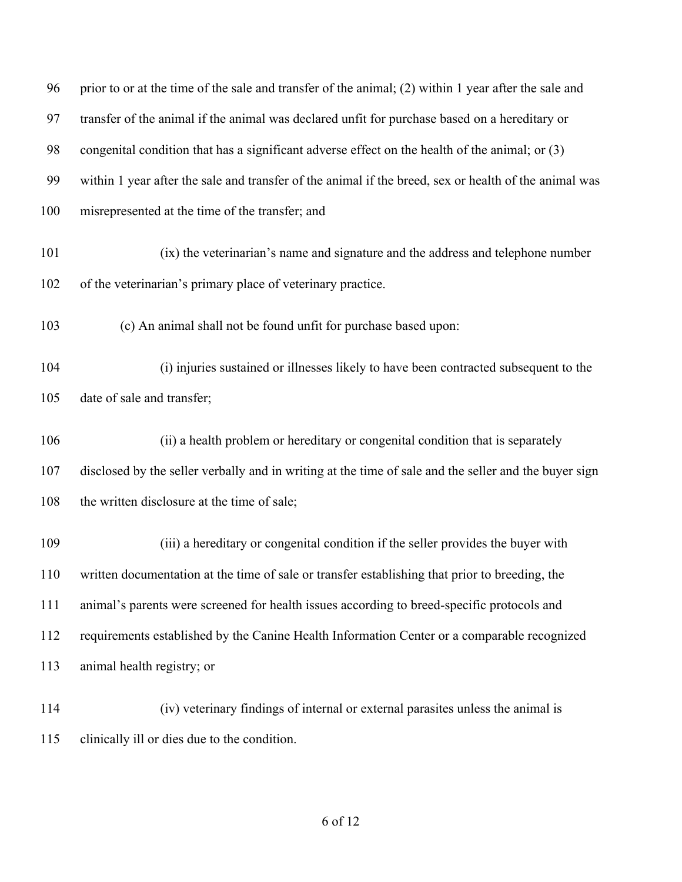| 96  | prior to or at the time of the sale and transfer of the animal; (2) within 1 year after the sale and  |
|-----|-------------------------------------------------------------------------------------------------------|
| 97  | transfer of the animal if the animal was declared unfit for purchase based on a hereditary or         |
| 98  | congenital condition that has a significant adverse effect on the health of the animal; or (3)        |
| 99  | within 1 year after the sale and transfer of the animal if the breed, sex or health of the animal was |
| 100 | misrepresented at the time of the transfer; and                                                       |
| 101 | (ix) the veterinarian's name and signature and the address and telephone number                       |
| 102 | of the veterinarian's primary place of veterinary practice.                                           |
| 103 | (c) An animal shall not be found unfit for purchase based upon:                                       |
| 104 | (i) injuries sustained or illnesses likely to have been contracted subsequent to the                  |
| 105 | date of sale and transfer;                                                                            |
| 106 | (ii) a health problem or hereditary or congenital condition that is separately                        |
| 107 | disclosed by the seller verbally and in writing at the time of sale and the seller and the buyer sign |
| 108 | the written disclosure at the time of sale;                                                           |
| 109 | (iii) a hereditary or congenital condition if the seller provides the buyer with                      |
| 110 | written documentation at the time of sale or transfer establishing that prior to breeding, the        |
| 111 | animal's parents were screened for health issues according to breed-specific protocols and            |
| 112 | requirements established by the Canine Health Information Center or a comparable recognized           |
| 113 | animal health registry; or                                                                            |
| 114 | (iv) veterinary findings of internal or external parasites unless the animal is                       |
| 115 | clinically ill or dies due to the condition.                                                          |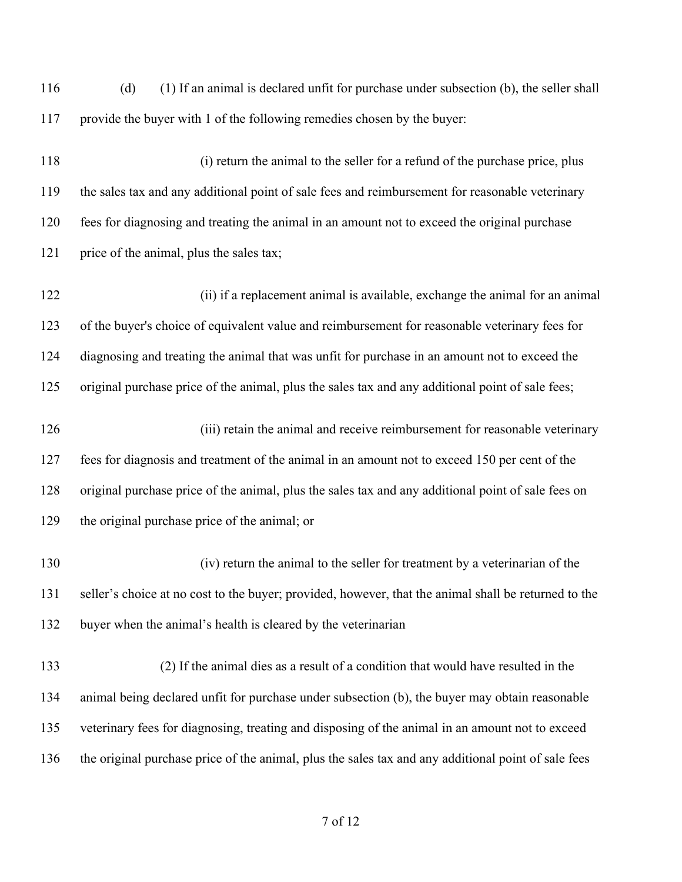| 116 | (1) If an animal is declared unfit for purchase under subsection (b), the seller shall<br>(d)        |
|-----|------------------------------------------------------------------------------------------------------|
| 117 | provide the buyer with 1 of the following remedies chosen by the buyer:                              |
| 118 | (i) return the animal to the seller for a refund of the purchase price, plus                         |
| 119 | the sales tax and any additional point of sale fees and reimbursement for reasonable veterinary      |
| 120 | fees for diagnosing and treating the animal in an amount not to exceed the original purchase         |
| 121 | price of the animal, plus the sales tax;                                                             |
| 122 | (ii) if a replacement animal is available, exchange the animal for an animal                         |
| 123 | of the buyer's choice of equivalent value and reimbursement for reasonable veterinary fees for       |
| 124 | diagnosing and treating the animal that was unfit for purchase in an amount not to exceed the        |
| 125 | original purchase price of the animal, plus the sales tax and any additional point of sale fees;     |
| 126 | (iii) retain the animal and receive reimbursement for reasonable veterinary                          |
| 127 | fees for diagnosis and treatment of the animal in an amount not to exceed 150 per cent of the        |
| 128 | original purchase price of the animal, plus the sales tax and any additional point of sale fees on   |
| 129 | the original purchase price of the animal; or                                                        |
| 130 | (iv) return the animal to the seller for treatment by a veterinarian of the                          |
| 131 | seller's choice at no cost to the buyer; provided, however, that the animal shall be returned to the |
| 132 | buyer when the animal's health is cleared by the veterinarian                                        |
| 133 | (2) If the animal dies as a result of a condition that would have resulted in the                    |
| 134 | animal being declared unfit for purchase under subsection (b), the buyer may obtain reasonable       |
| 135 | veterinary fees for diagnosing, treating and disposing of the animal in an amount not to exceed      |
| 136 | the original purchase price of the animal, plus the sales tax and any additional point of sale fees  |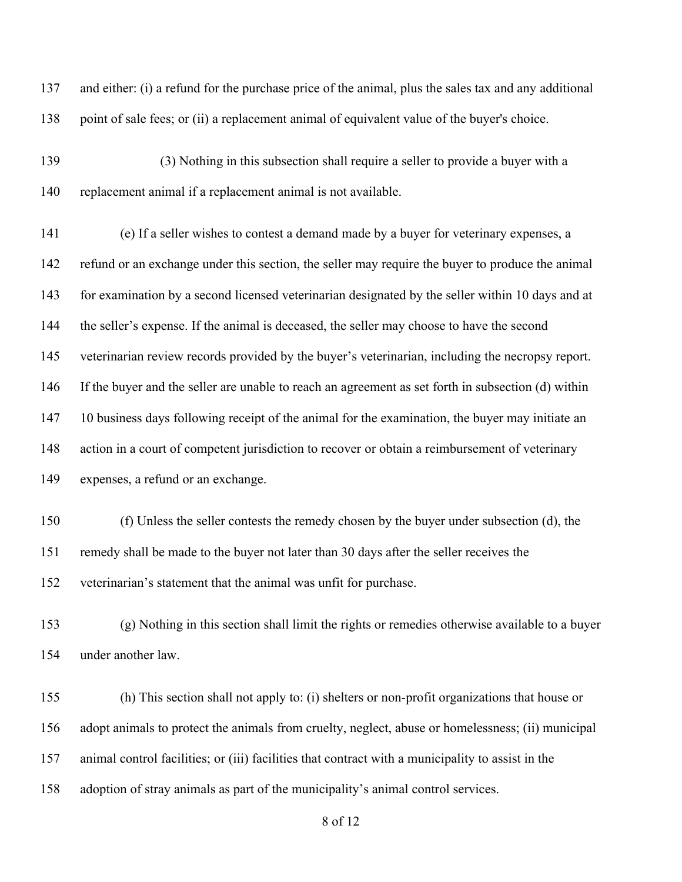and either: (i) a refund for the purchase price of the animal, plus the sales tax and any additional point of sale fees; or (ii) a replacement animal of equivalent value of the buyer's choice.

 (3) Nothing in this subsection shall require a seller to provide a buyer with a replacement animal if a replacement animal is not available.

 (e) If a seller wishes to contest a demand made by a buyer for veterinary expenses, a refund or an exchange under this section, the seller may require the buyer to produce the animal for examination by a second licensed veterinarian designated by the seller within 10 days and at the seller's expense. If the animal is deceased, the seller may choose to have the second veterinarian review records provided by the buyer's veterinarian, including the necropsy report. If the buyer and the seller are unable to reach an agreement as set forth in subsection (d) within 147 10 business days following receipt of the animal for the examination, the buyer may initiate an action in a court of competent jurisdiction to recover or obtain a reimbursement of veterinary expenses, a refund or an exchange.

 (f) Unless the seller contests the remedy chosen by the buyer under subsection (d), the remedy shall be made to the buyer not later than 30 days after the seller receives the veterinarian's statement that the animal was unfit for purchase.

 (g) Nothing in this section shall limit the rights or remedies otherwise available to a buyer under another law.

 (h) This section shall not apply to: (i) shelters or non-profit organizations that house or adopt animals to protect the animals from cruelty, neglect, abuse or homelessness; (ii) municipal animal control facilities; or (iii) facilities that contract with a municipality to assist in the adoption of stray animals as part of the municipality's animal control services.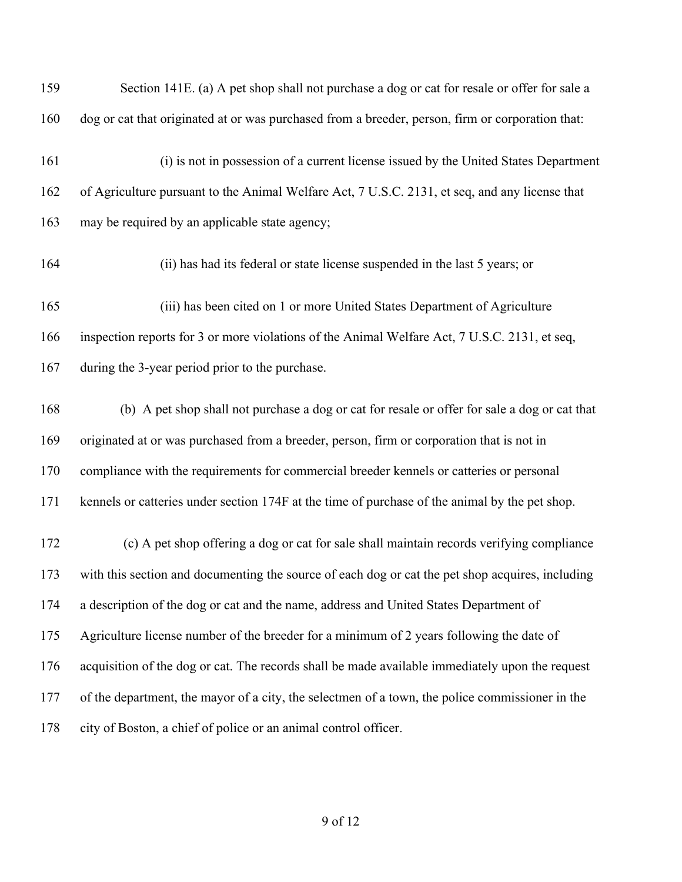| 159 | Section 141E. (a) A pet shop shall not purchase a dog or cat for resale or offer for sale a      |
|-----|--------------------------------------------------------------------------------------------------|
| 160 | dog or cat that originated at or was purchased from a breeder, person, firm or corporation that: |
| 161 | (i) is not in possession of a current license issued by the United States Department             |
| 162 | of Agriculture pursuant to the Animal Welfare Act, 7 U.S.C. 2131, et seq, and any license that   |
| 163 | may be required by an applicable state agency;                                                   |
| 164 | (ii) has had its federal or state license suspended in the last 5 years; or                      |
| 165 | (iii) has been cited on 1 or more United States Department of Agriculture                        |
| 166 | inspection reports for 3 or more violations of the Animal Welfare Act, 7 U.S.C. 2131, et seq,    |
| 167 | during the 3-year period prior to the purchase.                                                  |
| 168 | (b) A pet shop shall not purchase a dog or cat for resale or offer for sale a dog or cat that    |
| 169 | originated at or was purchased from a breeder, person, firm or corporation that is not in        |
| 170 | compliance with the requirements for commercial breeder kennels or catteries or personal         |
| 171 | kennels or catteries under section 174F at the time of purchase of the animal by the pet shop.   |
| 172 | (c) A pet shop offering a dog or cat for sale shall maintain records verifying compliance        |
| 173 | with this section and documenting the source of each dog or cat the pet shop acquires, including |
| 174 | a description of the dog or cat and the name, address and United States Department of            |
| 175 | Agriculture license number of the breeder for a minimum of 2 years following the date of         |
| 176 | acquisition of the dog or cat. The records shall be made available immediately upon the request  |
| 177 | of the department, the mayor of a city, the selectmen of a town, the police commissioner in the  |
| 178 | city of Boston, a chief of police or an animal control officer.                                  |
|     |                                                                                                  |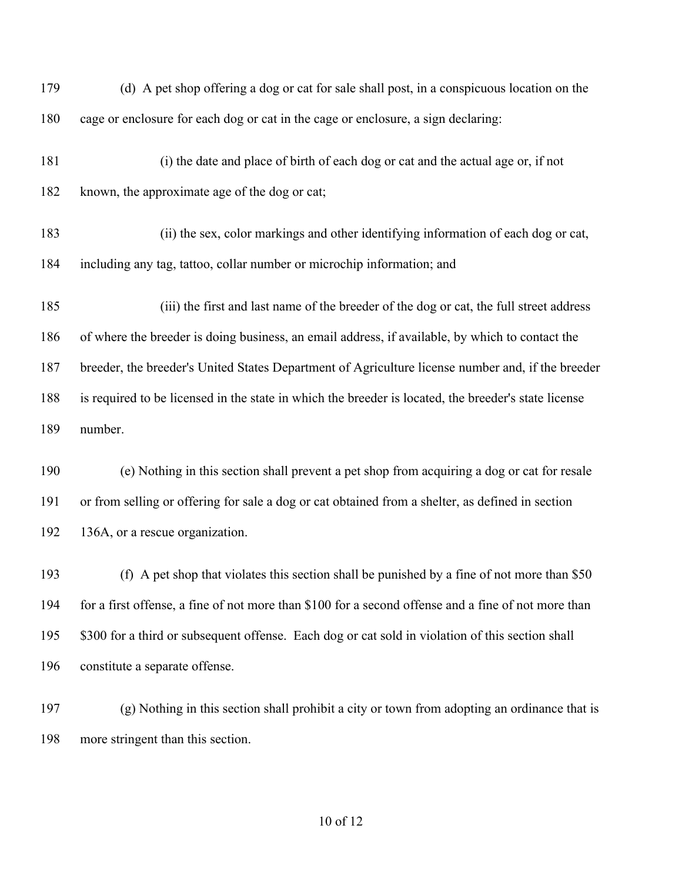| 179 | (d) A pet shop offering a dog or cat for sale shall post, in a conspicuous location on the           |
|-----|------------------------------------------------------------------------------------------------------|
| 180 | cage or enclosure for each dog or cat in the cage or enclosure, a sign declaring:                    |
| 181 | (i) the date and place of birth of each dog or cat and the actual age or, if not                     |
| 182 | known, the approximate age of the dog or cat;                                                        |
| 183 | (ii) the sex, color markings and other identifying information of each dog or cat,                   |
| 184 | including any tag, tattoo, collar number or microchip information; and                               |
| 185 | (iii) the first and last name of the breeder of the dog or cat, the full street address              |
| 186 | of where the breeder is doing business, an email address, if available, by which to contact the      |
| 187 | breeder, the breeder's United States Department of Agriculture license number and, if the breeder    |
| 188 | is required to be licensed in the state in which the breeder is located, the breeder's state license |
| 189 | number.                                                                                              |
| 190 | (e) Nothing in this section shall prevent a pet shop from acquiring a dog or cat for resale          |
| 191 | or from selling or offering for sale a dog or cat obtained from a shelter, as defined in section     |
| 192 | 136A, or a rescue organization.                                                                      |
| 193 | (f) A pet shop that violates this section shall be punished by a fine of not more than \$50          |
| 194 | for a first offense, a fine of not more than \$100 for a second offense and a fine of not more than  |
| 195 | \$300 for a third or subsequent offense. Each dog or cat sold in violation of this section shall     |
| 196 | constitute a separate offense.                                                                       |
| 197 | (g) Nothing in this section shall prohibit a city or town from adopting an ordinance that is         |
| 198 | more stringent than this section.                                                                    |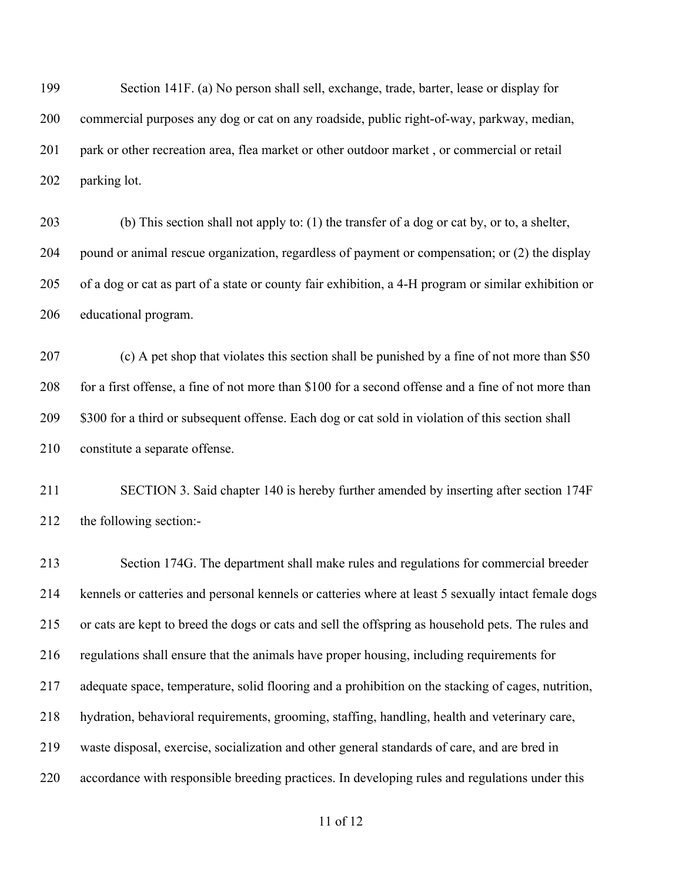Section 141F. (a) No person shall sell, exchange, trade, barter, lease or display for commercial purposes any dog or cat on any roadside, public right-of-way, parkway, median, park or other recreation area, flea market or other outdoor market , or commercial or retail parking lot.

 (b) This section shall not apply to: (1) the transfer of a dog or cat by, or to, a shelter, pound or animal rescue organization, regardless of payment or compensation; or (2) the display of a dog or cat as part of a state or county fair exhibition, a 4-H program or similar exhibition or educational program.

 (c) A pet shop that violates this section shall be punished by a fine of not more than \$50 for a first offense, a fine of not more than \$100 for a second offense and a fine of not more than 209 \$300 for a third or subsequent offense. Each dog or cat sold in violation of this section shall constitute a separate offense.

 SECTION 3. Said chapter 140 is hereby further amended by inserting after section 174F the following section:-

 Section 174G. The department shall make rules and regulations for commercial breeder kennels or catteries and personal kennels or catteries where at least 5 sexually intact female dogs or cats are kept to breed the dogs or cats and sell the offspring as household pets. The rules and regulations shall ensure that the animals have proper housing, including requirements for adequate space, temperature, solid flooring and a prohibition on the stacking of cages, nutrition, hydration, behavioral requirements, grooming, staffing, handling, health and veterinary care, waste disposal, exercise, socialization and other general standards of care, and are bred in accordance with responsible breeding practices. In developing rules and regulations under this